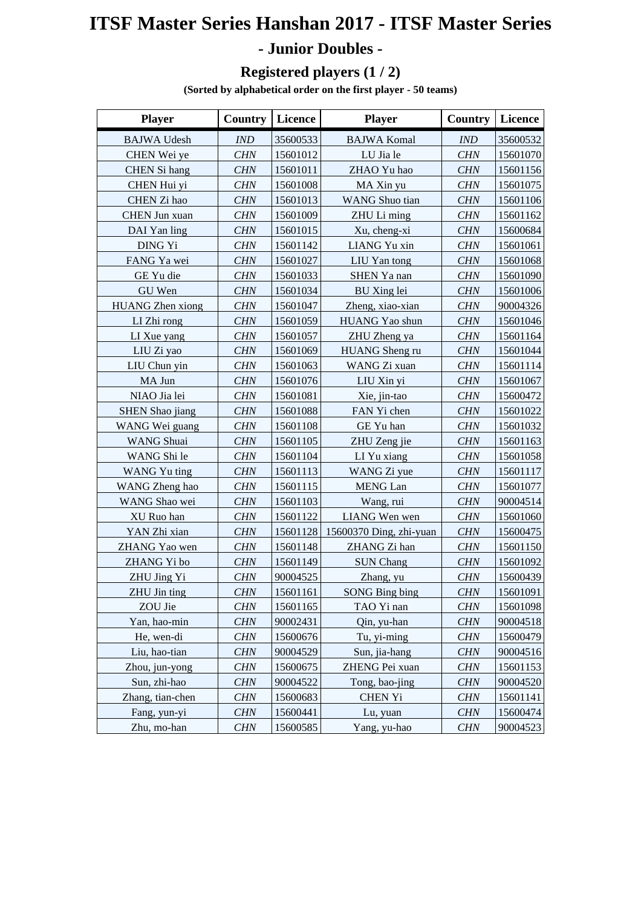## **ITSF Master Series Hanshan 2017 - ITSF Master Series - Junior Doubles -**

## **Registered players (1 / 2)**

**(Sorted by alphabetical order on the first player - 50 teams)**

| <b>Player</b>           | <b>Country</b> | <b>Licence</b> | <b>Player</b>           | <b>Country</b> | Licence  |
|-------------------------|----------------|----------------|-------------------------|----------------|----------|
| <b>BAJWA Udesh</b>      | <b>IND</b>     | 35600533       | <b>BAJWA Komal</b>      | IND            | 35600532 |
| CHEN Wei ye             | <b>CHN</b>     | 15601012       | LU Jia le               | <b>CHN</b>     | 15601070 |
| <b>CHEN</b> Si hang     | <b>CHN</b>     | 15601011       | ZHAO Yu hao             | <b>CHN</b>     | 15601156 |
| CHEN Hui yi             | <b>CHN</b>     | 15601008       | MA Xin yu               | <b>CHN</b>     | 15601075 |
| CHEN Zi hao             | <b>CHN</b>     | 15601013       | <b>WANG</b> Shuo tian   | <b>CHN</b>     | 15601106 |
| CHEN Jun xuan           | <b>CHN</b>     | 15601009       | ZHU Li ming             | CHN            | 15601162 |
| DAI Yan ling            | <b>CHN</b>     | 15601015       | Xu, cheng-xi            | <b>CHN</b>     | 15600684 |
| DING Yi                 | <b>CHN</b>     | 15601142       | LIANG Yu xin            | <b>CHN</b>     | 15601061 |
| FANG Ya wei             | <b>CHN</b>     | 15601027       | LIU Yan tong            | <b>CHN</b>     | 15601068 |
| GE Yu die               | <b>CHN</b>     | 15601033       | SHEN Ya nan             | <b>CHN</b>     | 15601090 |
| GU Wen                  | <b>CHN</b>     | 15601034       | <b>BU</b> Xing lei      | <b>CHN</b>     | 15601006 |
| <b>HUANG</b> Zhen xiong | <b>CHN</b>     | 15601047       | Zheng, xiao-xian        | <b>CHN</b>     | 90004326 |
| LI Zhi rong             | <b>CHN</b>     | 15601059       | HUANG Yao shun          | <b>CHN</b>     | 15601046 |
| LI Xue yang             | <b>CHN</b>     | 15601057       | ZHU Zheng ya            | <b>CHN</b>     | 15601164 |
| LIU Zi yao              | <b>CHN</b>     | 15601069       | HUANG Sheng ru          | <b>CHN</b>     | 15601044 |
| LIU Chun yin            | <b>CHN</b>     | 15601063       | WANG Zi xuan            | <b>CHN</b>     | 15601114 |
| MA Jun                  | <b>CHN</b>     | 15601076       | LIU Xin yi              | <b>CHN</b>     | 15601067 |
| NIAO Jia lei            | <b>CHN</b>     | 15601081       | Xie, jin-tao            | <b>CHN</b>     | 15600472 |
| <b>SHEN Shao jiang</b>  | <b>CHN</b>     | 15601088       | FAN Yi chen             | <b>CHN</b>     | 15601022 |
| WANG Wei guang          | <b>CHN</b>     | 15601108       | GE Yu han               | <b>CHN</b>     | 15601032 |
| <b>WANG</b> Shuai       | <b>CHN</b>     | 15601105       | ZHU Zeng jie            | <b>CHN</b>     | 15601163 |
| WANG Shi le             | <b>CHN</b>     | 15601104       | LI Yu xiang             | <b>CHN</b>     | 15601058 |
| WANG Yu ting            | <b>CHN</b>     | 15601113       | WANG Zi yue             | <b>CHN</b>     | 15601117 |
| WANG Zheng hao          | <b>CHN</b>     | 15601115       | <b>MENG</b> Lan         | CHN            | 15601077 |
| WANG Shao wei           | <b>CHN</b>     | 15601103       | Wang, rui               | <b>CHN</b>     | 90004514 |
| XU Ruo han              | <b>CHN</b>     | 15601122       | LIANG Wen wen           | <b>CHN</b>     | 15601060 |
| YAN Zhi xian            | <b>CHN</b>     | 15601128       | 15600370 Ding, zhi-yuan | <b>CHN</b>     | 15600475 |
| ZHANG Yao wen           | <b>CHN</b>     | 15601148       | ZHANG Zi han            | <b>CHN</b>     | 15601150 |
| ZHANG Yi bo             | <b>CHN</b>     | 15601149       | <b>SUN Chang</b>        | <b>CHN</b>     | 15601092 |
| ZHU Jing Yi             | CHN            | 90004525       | Zhang, yu               | CHN            | 15600439 |
| ZHU Jin ting            | CHN            | 15601161       | <b>SONG Bing bing</b>   | <b>CHN</b>     | 15601091 |
| ZOU Jie                 | <b>CHN</b>     | 15601165       | TAO Yi nan              | <b>CHN</b>     | 15601098 |
| Yan, hao-min            | <b>CHN</b>     | 90002431       | Qin, yu-han             | <b>CHN</b>     | 90004518 |
| He, wen-di              | <b>CHN</b>     | 15600676       | Tu, yi-ming             | <b>CHN</b>     | 15600479 |
| Liu, hao-tian           | <b>CHN</b>     | 90004529       | Sun, jia-hang           | <b>CHN</b>     | 90004516 |
| Zhou, jun-yong          | <b>CHN</b>     | 15600675       | ZHENG Pei xuan          | <b>CHN</b>     | 15601153 |
| Sun, zhi-hao            | <b>CHN</b>     | 90004522       | Tong, bao-jing          | <b>CHN</b>     | 90004520 |
| Zhang, tian-chen        | <b>CHN</b>     | 15600683       | <b>CHEN Yi</b>          | <b>CHN</b>     | 15601141 |
| Fang, yun-yi            | <b>CHN</b>     | 15600441       | Lu, yuan                | <b>CHN</b>     | 15600474 |
| Zhu, mo-han             | <b>CHN</b>     | 15600585       | Yang, yu-hao            | <b>CHN</b>     | 90004523 |